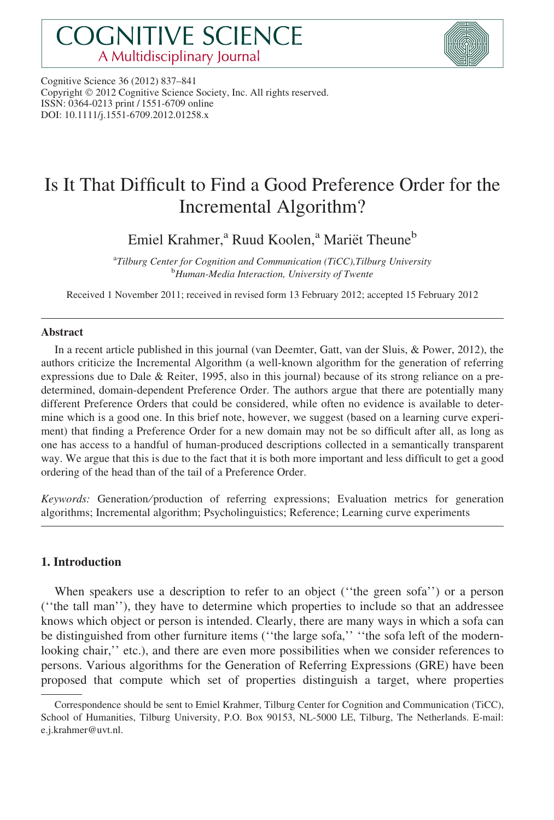# **COGNITIVE SCIENCE** A Multidisciplinary Journal



Cognitive Science 36 (2012) 837–841 Copyright © 2012 Cognitive Science Society, Inc. All rights reserved. ISSN: 0364-0213 print / 1551-6709 online DOI: 10.1111/j.1551-6709.2012.01258.x

## Is It That Difficult to Find a Good Preference Order for the Incremental Algorithm?

Emiel Krahmer,<sup>a</sup> Ruud Koolen,<sup>a</sup> Mariët Theune<sup>b</sup>

<sup>a</sup>Tilburg Center for Cognition and Communication (TiCC),Tilburg University<br><sup>b</sup>Human Media Interaction, University of Twante <sup>b</sup>Human-Media Interaction, University of Twente

Received 1 November 2011; received in revised form 13 February 2012; accepted 15 February 2012

#### Abstract

In a recent article published in this journal (van Deemter, Gatt, van der Sluis, & Power, 2012), the authors criticize the Incremental Algorithm (a well-known algorithm for the generation of referring expressions due to Dale & Reiter, 1995, also in this journal) because of its strong reliance on a predetermined, domain-dependent Preference Order. The authors argue that there are potentially many different Preference Orders that could be considered, while often no evidence is available to determine which is a good one. In this brief note, however, we suggest (based on a learning curve experiment) that finding a Preference Order for a new domain may not be so difficult after all, as long as one has access to a handful of human-produced descriptions collected in a semantically transparent way. We argue that this is due to the fact that it is both more important and less difficult to get a good ordering of the head than of the tail of a Preference Order.

Keywords: Generation/production of referring expressions; Evaluation metrics for generation algorithms; Incremental algorithm; Psycholinguistics; Reference; Learning curve experiments

### 1. Introduction

When speakers use a description to refer to an object (''the green sofa'') or a person (''the tall man''), they have to determine which properties to include so that an addressee knows which object or person is intended. Clearly, there are many ways in which a sofa can be distinguished from other furniture items (''the large sofa,'' ''the sofa left of the modernlooking chair,'' etc.), and there are even more possibilities when we consider references to persons. Various algorithms for the Generation of Referring Expressions (GRE) have been proposed that compute which set of properties distinguish a target, where properties

Correspondence should be sent to Emiel Krahmer, Tilburg Center for Cognition and Communication (TiCC), School of Humanities, Tilburg University, P.O. Box 90153, NL-5000 LE, Tilburg, The Netherlands. E-mail: e.j.krahmer@uvt.nl.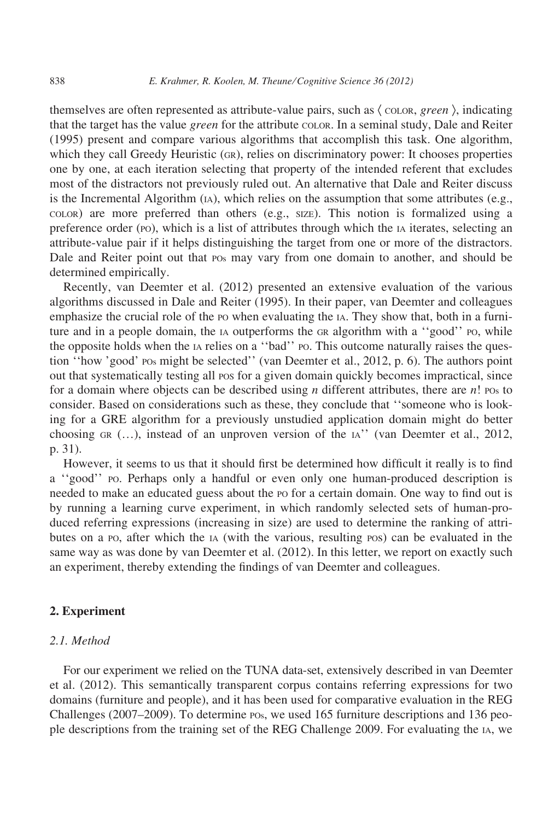themselves are often represented as attribute-value pairs, such as  $\langle$  color, *green*  $\rangle$ , indicating that the target has the value green for the attribute color. In a seminal study, Dale and Reiter (1995) present and compare various algorithms that accomplish this task. One algorithm, which they call Greedy Heuristic (GR), relies on discriminatory power: It chooses properties one by one, at each iteration selecting that property of the intended referent that excludes most of the distractors not previously ruled out. An alternative that Dale and Reiter discuss is the Incremental Algorithm (ia), which relies on the assumption that some attributes (e.g., color) are more preferred than others (e.g., size). This notion is formalized using a preference order (po), which is a list of attributes through which the ia iterates, selecting an attribute-value pair if it helps distinguishing the target from one or more of the distractors. Dale and Reiter point out that po<sup>s</sup> may vary from one domain to another, and should be determined empirically.

Recently, van Deemter et al. (2012) presented an extensive evaluation of the various algorithms discussed in Dale and Reiter (1995). In their paper, van Deemter and colleagues emphasize the crucial role of the po when evaluating the ia. They show that, both in a furniture and in a people domain, the ia outperforms the gr algorithm with a ''good'' po, while the opposite holds when the ia relies on a ''bad'' po. This outcome naturally raises the question ''how 'good' po<sup>s</sup> might be selected'' (van Deemter et al., 2012, p. 6). The authors point out that systematically testing all pos for a given domain quickly becomes impractical, since for a domain where objects can be described using *n* different attributes, there are *n*! Pos to consider. Based on considerations such as these, they conclude that ''someone who is looking for a GRE algorithm for a previously unstudied application domain might do better choosing GR (...), instead of an unproven version of the IA'' (van Deemter et al., 2012, p. 31).

However, it seems to us that it should first be determined how difficult it really is to find a ''good'' po. Perhaps only a handful or even only one human-produced description is needed to make an educated guess about the po for a certain domain. One way to find out is by running a learning curve experiment, in which randomly selected sets of human-produced referring expressions (increasing in size) are used to determine the ranking of attributes on a po, after which the ia (with the various, resulting pos) can be evaluated in the same way as was done by van Deemter et al. (2012). In this letter, we report on exactly such an experiment, thereby extending the findings of van Deemter and colleagues.

#### 2. Experiment

#### 2.1. Method

For our experiment we relied on the TUNA data-set, extensively described in van Deemter et al. (2012). This semantically transparent corpus contains referring expressions for two domains (furniture and people), and it has been used for comparative evaluation in the REG Challenges (2007–2009). To determine pos, we used 165 furniture descriptions and 136 people descriptions from the training set of the REG Challenge 2009. For evaluating the ia, we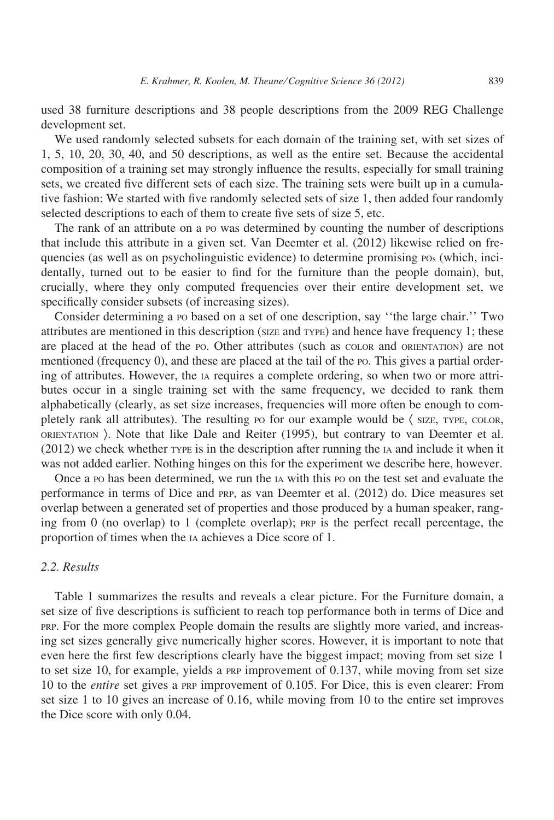used 38 furniture descriptions and 38 people descriptions from the 2009 REG Challenge development set.

We used randomly selected subsets for each domain of the training set, with set sizes of 1, 5, 10, 20, 30, 40, and 50 descriptions, as well as the entire set. Because the accidental composition of a training set may strongly influence the results, especially for small training sets, we created five different sets of each size. The training sets were built up in a cumulative fashion: We started with five randomly selected sets of size 1, then added four randomly selected descriptions to each of them to create five sets of size 5, etc.

The rank of an attribute on a po was determined by counting the number of descriptions that include this attribute in a given set. Van Deemter et al. (2012) likewise relied on frequencies (as well as on psycholinguistic evidence) to determine promising po<sup>s</sup> (which, incidentally, turned out to be easier to find for the furniture than the people domain), but, crucially, where they only computed frequencies over their entire development set, we specifically consider subsets (of increasing sizes).

Consider determining a po based on a set of one description, say ''the large chair.'' Two attributes are mentioned in this description (size and type) and hence have frequency 1; these are placed at the head of the po. Other attributes (such as color and orientation) are not mentioned (frequency 0), and these are placed at the tail of the po. This gives a partial ordering of attributes. However, the ia requires a complete ordering, so when two or more attributes occur in a single training set with the same frequency, we decided to rank them alphabetically (clearly, as set size increases, frequencies will more often be enough to completely rank all attributes). The resulting po for our example would be  $\zeta$  size, type, color,  $ORIENTATION$ ). Note that like Dale and Reiter (1995), but contrary to van Deemter et al. (2012) we check whether type is in the description after running the ia and include it when it was not added earlier. Nothing hinges on this for the experiment we describe here, however.

Once a po has been determined, we run the ia with this po on the test set and evaluate the performance in terms of Dice and prp, as van Deemter et al. (2012) do. Dice measures set overlap between a generated set of properties and those produced by a human speaker, ranging from 0 (no overlap) to 1 (complete overlap);  $PRP$  is the perfect recall percentage, the proportion of times when the ia achieves a Dice score of 1.

#### 2.2. Results

Table 1 summarizes the results and reveals a clear picture. For the Furniture domain, a set size of five descriptions is sufficient to reach top performance both in terms of Dice and prp. For the more complex People domain the results are slightly more varied, and increasing set sizes generally give numerically higher scores. However, it is important to note that even here the first few descriptions clearly have the biggest impact; moving from set size 1 to set size 10, for example, yields a prp improvement of 0.137, while moving from set size 10 to the entire set gives a prp improvement of 0.105. For Dice, this is even clearer: From set size 1 to 10 gives an increase of 0.16, while moving from 10 to the entire set improves the Dice score with only 0.04.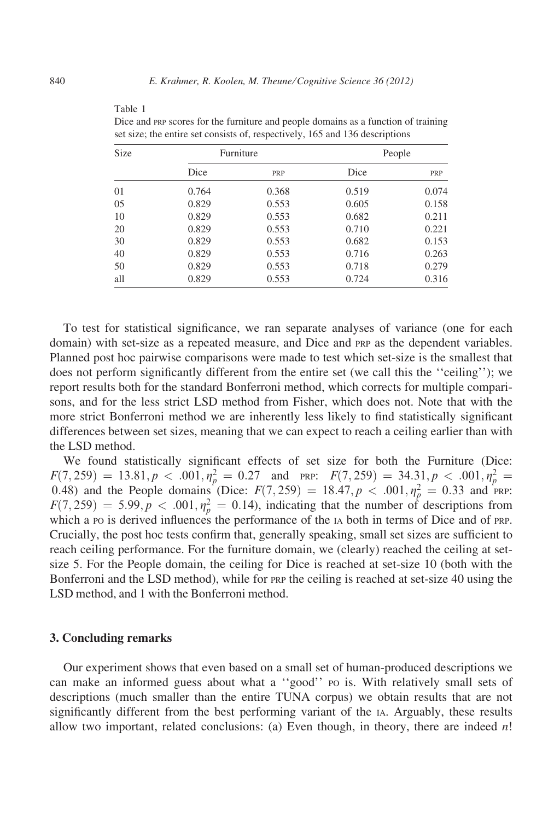| <b>Size</b> | Furniture |       | People |       |
|-------------|-----------|-------|--------|-------|
|             | Dice      | PRP   | Dice   | PRP   |
| 01          | 0.764     | 0.368 | 0.519  | 0.074 |
| 05          | 0.829     | 0.553 | 0.605  | 0.158 |
| 10          | 0.829     | 0.553 | 0.682  | 0.211 |
| 20          | 0.829     | 0.553 | 0.710  | 0.221 |
| 30          | 0.829     | 0.553 | 0.682  | 0.153 |
| 40          | 0.829     | 0.553 | 0.716  | 0.263 |
| 50          | 0.829     | 0.553 | 0.718  | 0.279 |
| all         | 0.829     | 0.553 | 0.724  | 0.316 |

Dice and prp scores for the furniture and people domains as a function of training set size; the entire set consists of, respectively, 165 and 136 descriptions

To test for statistical significance, we ran separate analyses of variance (one for each domain) with set-size as a repeated measure, and Dice and PRP as the dependent variables. Planned post hoc pairwise comparisons were made to test which set-size is the smallest that does not perform significantly different from the entire set (we call this the ''ceiling''); we report results both for the standard Bonferroni method, which corrects for multiple comparisons, and for the less strict LSD method from Fisher, which does not. Note that with the more strict Bonferroni method we are inherently less likely to find statistically significant differences between set sizes, meaning that we can expect to reach a ceiling earlier than with the LSD method.

We found statistically significant effects of set size for both the Furniture (Dice:  $F(7,259) = 13.81, p < .001, \eta_p^2 = 0.27$  and prp:  $F(7,259) = 34.31, p < .001, \eta_p^2 =$ 0.48) and the People domains (Dice:  $F(7,259) = 18.47, p < .001, \eta_p^2 = 0.33$  and *PRP*:  $F(7,259) = 5.99, p < .001, \eta_p^2 = 0.14$ , indicating that the number of descriptions from which a po is derived influences the performance of the ia both in terms of Dice and of prp. Crucially, the post hoc tests confirm that, generally speaking, small set sizes are sufficient to reach ceiling performance. For the furniture domain, we (clearly) reached the ceiling at setsize 5. For the People domain, the ceiling for Dice is reached at set-size 10 (both with the Bonferroni and the LSD method), while for prp the ceiling is reached at set-size 40 using the LSD method, and 1 with the Bonferroni method.

#### 3. Concluding remarks

Our experiment shows that even based on a small set of human-produced descriptions we can make an informed guess about what a ''good'' po is. With relatively small sets of descriptions (much smaller than the entire TUNA corpus) we obtain results that are not significantly different from the best performing variant of the ia. Arguably, these results allow two important, related conclusions: (a) Even though, in theory, there are indeed n!

Table 1